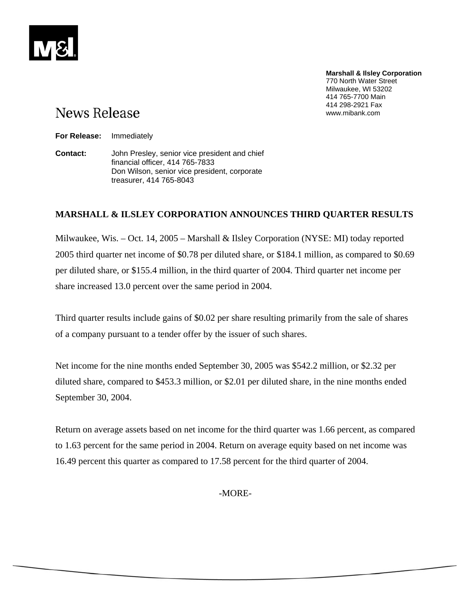# **News Release**

**Marshall & Ilsley Corporation** 770 North Water Street Milwaukee, WI 53202 414 765-7700 Main 414 298-2921 Fax www.mibank.com

**For Release:** Immediately

**Contact:** John Presley, senior vice president and chief financial officer, 414 765-7833 Don Wilson, senior vice president, corporate treasurer, 414 765-8043

# **MARSHALL & ILSLEY CORPORATION ANNOUNCES THIRD QUARTER RESULTS**

Milwaukee, Wis. – Oct. 14, 2005 – Marshall & Ilsley Corporation (NYSE: MI) today reported 2005 third quarter net income of \$0.78 per diluted share, or \$184.1 million, as compared to \$0.69 per diluted share, or \$155.4 million, in the third quarter of 2004. Third quarter net income per share increased 13.0 percent over the same period in 2004.

Third quarter results include gains of \$0.02 per share resulting primarily from the sale of shares of a company pursuant to a tender offer by the issuer of such shares.

Net income for the nine months ended September 30, 2005 was \$542.2 million, or \$2.32 per diluted share, compared to \$453.3 million, or \$2.01 per diluted share, in the nine months ended September 30, 2004.

Return on average assets based on net income for the third quarter was 1.66 percent, as compared to 1.63 percent for the same period in 2004. Return on average equity based on net income was 16.49 percent this quarter as compared to 17.58 percent for the third quarter of 2004.

-MORE-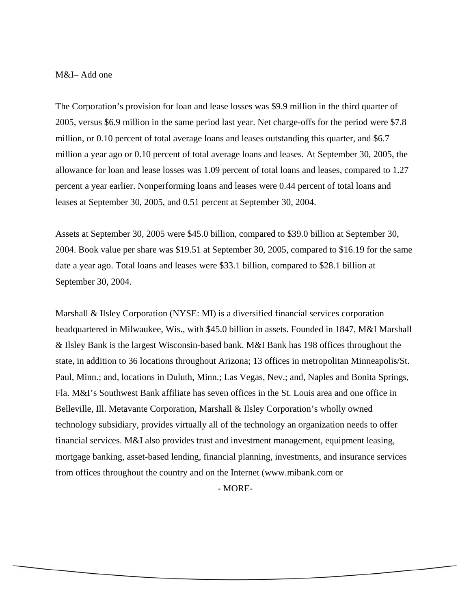#### M&I– Add one

The Corporation's provision for loan and lease losses was \$9.9 million in the third quarter of 2005, versus \$6.9 million in the same period last year. Net charge-offs for the period were \$7.8 million, or 0.10 percent of total average loans and leases outstanding this quarter, and \$6.7 million a year ago or 0.10 percent of total average loans and leases. At September 30, 2005, the allowance for loan and lease losses was 1.09 percent of total loans and leases, compared to 1.27 percent a year earlier. Nonperforming loans and leases were 0.44 percent of total loans and leases at September 30, 2005, and 0.51 percent at September 30, 2004.

Assets at September 30, 2005 were \$45.0 billion, compared to \$39.0 billion at September 30, 2004. Book value per share was \$19.51 at September 30, 2005, compared to \$16.19 for the same date a year ago. Total loans and leases were \$33.1 billion, compared to \$28.1 billion at September 30, 2004.

Marshall & Ilsley Corporation (NYSE: MI) is a diversified financial services corporation headquartered in Milwaukee, Wis., with \$45.0 billion in assets. Founded in 1847, M&I Marshall & Ilsley Bank is the largest Wisconsin-based bank. M&I Bank has 198 offices throughout the state, in addition to 36 locations throughout Arizona; 13 offices in metropolitan Minneapolis/St. Paul, Minn.; and, locations in Duluth, Minn.; Las Vegas, Nev.; and, Naples and Bonita Springs, Fla. M&I's Southwest Bank affiliate has seven offices in the St. Louis area and one office in Belleville, Ill. Metavante Corporation, Marshall & Ilsley Corporation's wholly owned technology subsidiary, provides virtually all of the technology an organization needs to offer financial services. M&I also provides trust and investment management, equipment leasing, mortgage banking, asset-based lending, financial planning, investments, and insurance services from offices throughout the country and on the Internet (www.mibank.com or

- MORE-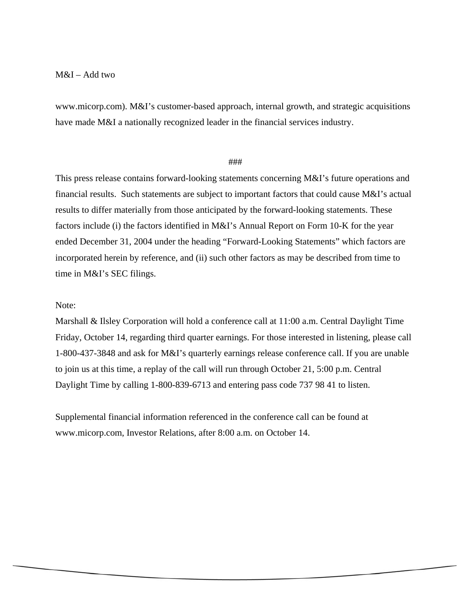### M&I – Add two

www.micorp.com). M&I's customer-based approach, internal growth, and strategic acquisitions have made M&I a nationally recognized leader in the financial services industry.

## ###

This press release contains forward-looking statements concerning M&I's future operations and financial results. Such statements are subject to important factors that could cause M&I's actual results to differ materially from those anticipated by the forward-looking statements. These factors include (i) the factors identified in M&I's Annual Report on Form 10-K for the year ended December 31, 2004 under the heading "Forward-Looking Statements" which factors are incorporated herein by reference, and (ii) such other factors as may be described from time to time in M&I's SEC filings.

# Note:

Marshall & Ilsley Corporation will hold a conference call at 11:00 a.m. Central Daylight Time Friday, October 14, regarding third quarter earnings. For those interested in listening, please call 1-800-437-3848 and ask for M&I's quarterly earnings release conference call. If you are unable to join us at this time, a replay of the call will run through October 21, 5:00 p.m. Central Daylight Time by calling 1-800-839-6713 and entering pass code 737 98 41 to listen.

Supplemental financial information referenced in the conference call can be found at www.micorp.com, Investor Relations, after 8:00 a.m. on October 14.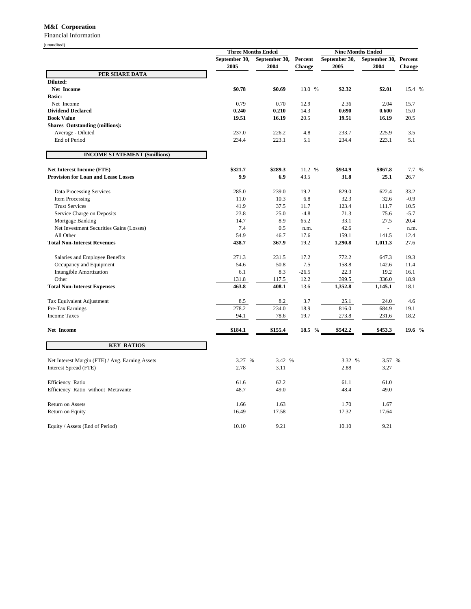#### **M&I Corporation**

Financial Information

(unaudited)

|                                                 | <b>Three Months Ended</b> |               |         | <b>Nine Months Ended</b> |                          |        |
|-------------------------------------------------|---------------------------|---------------|---------|--------------------------|--------------------------|--------|
|                                                 | September 30,             | September 30, | Percent | September 30,            | September 30, Percent    |        |
|                                                 | 2005                      | 2004          | Change  | 2005                     | 2004                     | Change |
| PER SHARE DATA                                  |                           |               |         |                          |                          |        |
| Diluted:<br>Net Income                          | \$0.78                    | \$0.69        | 13.0 %  | \$2.32                   | \$2.01                   |        |
| <b>Basic:</b>                                   |                           |               |         |                          |                          | 15.4 % |
| Net Income                                      | 0.79                      | 0.70          | 12.9    | 2.36                     | 2.04                     | 15.7   |
| <b>Dividend Declared</b>                        | 0.240                     | 0.210         | 14.3    | 0.690                    | 0.600                    | 15.0   |
| <b>Book Value</b>                               | 19.51                     | 16.19         | 20.5    | 19.51                    | 16.19                    | 20.5   |
| <b>Shares Outstanding (millions):</b>           |                           |               |         |                          |                          |        |
| Average - Diluted                               | 237.0                     | 226.2         | 4.8     | 233.7                    | 225.9                    | 3.5    |
| End of Period                                   | 234.4                     | 223.1         | 5.1     | 234.4                    | 223.1                    | 5.1    |
| <b>INCOME STATEMENT (\$millions)</b>            |                           |               |         |                          |                          |        |
| Net Interest Income (FTE)                       | \$321.7                   | \$289.3       | 11.2 %  | \$934.9                  | \$867.8                  | 7.7 %  |
| <b>Provision for Loan and Lease Losses</b>      | 9.9                       | 6.9           | 43.5    | 31.8                     | 25.1                     | 26.7   |
| Data Processing Services                        | 285.0                     | 239.0         | 19.2    | 829.0                    | 622.4                    | 33.2   |
| <b>Item Processing</b>                          | 11.0                      | 10.3          | 6.8     | 32.3                     | 32.6                     | $-0.9$ |
| <b>Trust Services</b>                           | 41.9                      | 37.5          | 11.7    | 123.4                    | 111.7                    | 10.5   |
| Service Charge on Deposits                      | 23.8                      | 25.0          | $-4.8$  | 71.3                     | 75.6                     | $-5.7$ |
| Mortgage Banking                                | 14.7                      | 8.9           | 65.2    | 33.1                     | 27.5                     | 20.4   |
| Net Investment Securities Gains (Losses)        | 7.4                       | 0.5           | n.m.    | 42.6                     | $\overline{\phantom{a}}$ | n.m.   |
| All Other                                       | 54.9                      | 46.7          | 17.6    | 159.1                    | 141.5                    | 12.4   |
| <b>Total Non-Interest Revenues</b>              | 438.7                     | 367.9         | 19.2    | 1,290.8                  | 1,011.3                  | 27.6   |
| Salaries and Employee Benefits                  | 271.3                     | 231.5         | 17.2    | 772.2                    | 647.3                    | 19.3   |
| Occupancy and Equipment                         | 54.6                      | 50.8          | 7.5     | 158.8                    | 142.6                    | 11.4   |
| <b>Intangible Amortization</b>                  | 6.1                       | 8.3           | $-26.5$ | 22.3                     | 19.2                     | 16.1   |
| Other                                           | 131.8                     | 117.5         | 12.2    | 399.5                    | 336.0                    | 18.9   |
| <b>Total Non-Interest Expenses</b>              | 463.8                     | 408.1         | 13.6    | 1,352.8                  | 1,145.1                  | 18.1   |
| Tax Equivalent Adjustment                       | 8.5                       | 8.2           | 3.7     | 25.1                     | 24.0                     | 4.6    |
| Pre-Tax Earnings                                | 278.2                     | 234.0         | 18.9    | 816.0                    | 684.9                    | 19.1   |
| <b>Income Taxes</b>                             | 94.1                      | 78.6          | 19.7    | 273.8                    | 231.6                    | 18.2   |
| Net Income                                      | \$184.1                   | \$155.4       | 18.5 %  | \$542.2                  | \$453.3                  | 19.6 % |
| <b>KEY RATIOS</b>                               |                           |               |         |                          |                          |        |
| Net Interest Margin (FTE) / Avg. Earning Assets | 3.27 %                    | 3.42 %        |         | 3.32 %                   | 3.57 %                   |        |
| Interest Spread (FTE)                           | 2.78                      | 3.11          |         | 2.88                     | 3.27                     |        |
| Efficiency Ratio                                | 61.6                      | 62.2          |         | 61.1                     | 61.0                     |        |
| Efficiency Ratio without Metavante              | 48.7                      | 49.0          |         | 48.4                     | 49.0                     |        |
| Return on Assets                                | 1.66                      | 1.63          |         | 1.70                     | 1.67                     |        |
| Return on Equity                                | 16.49                     | 17.58         |         | 17.32                    | 17.64                    |        |
| Equity / Assets (End of Period)                 | 10.10                     | 9.21          |         | 10.10                    | 9.21                     |        |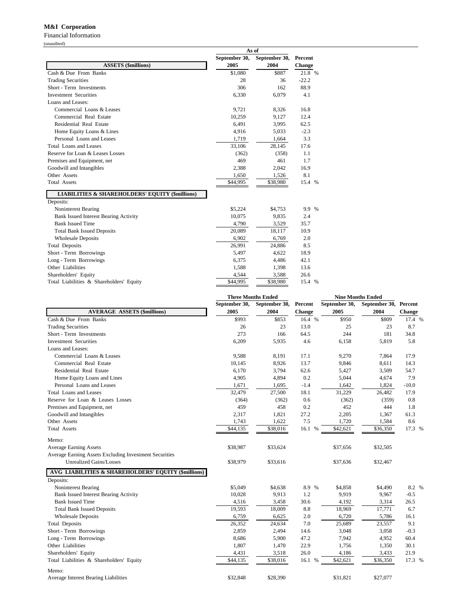#### **M&I Corporation**

Financial Information (unaudited)

|                                                            | As of         |               |                |  |  |
|------------------------------------------------------------|---------------|---------------|----------------|--|--|
|                                                            | September 30, | September 30, | <b>Percent</b> |  |  |
| <b>ASSETS (\$millions)</b>                                 | 2005          | 2004          | <b>Change</b>  |  |  |
| Cash & Due From Banks                                      | \$1,080       | \$887         | 21.8 %         |  |  |
| <b>Trading Securities</b>                                  | 28            | 36            | $-22.2$        |  |  |
| Short - Term Investments                                   | 306           | 162           | 88.9           |  |  |
| <b>Investment Securities</b>                               | 6,330         | 6,079         | 4.1            |  |  |
| Loans and Leases:                                          |               |               |                |  |  |
| Commercial Loans & Leases                                  | 9,721         | 8,326         | 16.8           |  |  |
| Commercial Real Estate                                     | 10,259        | 9,127         | 12.4           |  |  |
| Residential Real Estate                                    | 6,491         | 3,995         | 62.5           |  |  |
| Home Equity Loans & Lines                                  | 4,916         | 5,033         | $-2.3$         |  |  |
| Personal Loans and Leases                                  | 1,719         | 1,664         | 3.3            |  |  |
| Total Loans and Leases                                     | 33,106        | 28,145        | 17.6           |  |  |
| Reserve for Loan & Leases Losses                           | (362)         | (358)         | 1.1            |  |  |
| Premises and Equipment, net                                | 469           | 461           | 1.7            |  |  |
| Goodwill and Intangibles                                   | 2,388         | 2,042         | 16.9           |  |  |
| Other Assets                                               | 1,650         | 1,526         | 8.1            |  |  |
| <b>Total Assets</b>                                        | \$44,995      | \$38,980      | 15.4 %         |  |  |
| <b>LIABILITIES &amp; SHAREHOLDERS' EQUITY (\$millions)</b> |               |               |                |  |  |
| Deposits:                                                  |               |               |                |  |  |
| Noninterest Bearing                                        | \$5,224       | \$4,753       | 9.9 %          |  |  |
| <b>Bank Issued Interest Bearing Activity</b>               | 10,075        | 9,835         | 2.4            |  |  |
| <b>Bank Issued Time</b>                                    | 4,790         | 3,529         | 35.7           |  |  |
| <b>Total Bank Issued Deposits</b>                          | 20,089        | 18,117        | 10.9           |  |  |
| <b>Wholesale Deposits</b>                                  | 6,902         | 6,769         | 2.0            |  |  |
| <b>Total Deposits</b>                                      | 26,991        | 24,886        | 8.5            |  |  |
| Short - Term Borrowings                                    | 5,497         | 4,622         | 18.9           |  |  |
| Long - Term Borrowings                                     | 6,375         | 4,486         | 42.1           |  |  |
| Other Liabilities                                          | 1,588         | 1,398         | 13.6           |  |  |
| Shareholders' Equity                                       | 4.544         | 3.588         | 26.6           |  |  |

Total Liabilities & Shareholders' Equity **\$44,995** \$38,980 15.4 %

|                                                        | <b>Three Months Ended</b> |               |               | <b>Nine Months Ended</b> |               |         |  |
|--------------------------------------------------------|---------------------------|---------------|---------------|--------------------------|---------------|---------|--|
|                                                        | September 30,             | September 30, | Percent       | September 30,            | September 30, | Percent |  |
| <b>AVERAGE ASSETS (\$millions)</b>                     | 2005                      | 2004          | <b>Change</b> | 2005                     | 2004          | Change  |  |
| Cash & Due From Banks                                  | \$993                     | \$853         | 16.4 %        | \$950                    | \$809         | 17.4 %  |  |
| <b>Trading Securities</b>                              | 26                        | 23            | 13.0          | 25                       | 23            | 8.7     |  |
| Short - Term Investments                               | 273                       | 166           | 64.5          | 244                      | 181           | 34.8    |  |
| <b>Investment Securities</b>                           | 6,209                     | 5,935         | 4.6           | 6,158                    | 5,819         | 5.8     |  |
| Loans and Leases:                                      |                           |               |               |                          |               |         |  |
| Commercial Loans & Leases                              | 9.588                     | 8,191         | 17.1          | 9,270                    | 7,864         | 17.9    |  |
| Commercial Real Estate                                 | 10,145                    | 8,926         | 13.7          | 9,846                    | 8,611         | 14.3    |  |
| Residential Real Estate                                | 6,170                     | 3,794         | 62.6          | 5,427                    | 3,509         | 54.7    |  |
| Home Equity Loans and Lines                            | 4,905                     | 4,894         | 0.2           | 5,044                    | 4,674         | 7.9     |  |
| Personal Loans and Leases                              | 1,671                     | 1,695         | $-1.4$        | 1,642                    | 1,824         | $-10.0$ |  |
| <b>Total Loans and Leases</b>                          | 32,479                    | 27,500        | 18.1          | 31,229                   | 26,482        | 17.9    |  |
| Reserve for Loan & Leases Losses                       | (364)                     | (362)         | 0.6           | (362)                    | (359)         | 0.8     |  |
| Premises and Equipment, net                            | 459                       | 458           | 0.2           | 452                      | 444           | 1.8     |  |
| Goodwill and Intangibles                               | 2,317                     | 1,821         | 27.2          | 2,205                    | 1,367         | 61.3    |  |
| Other Assets                                           | 1,743                     | 1,622         | 7.5           | 1,720                    | 1,584         | 8.6     |  |
| <b>Total Assets</b>                                    | \$44,135                  | \$38,016      | 16.1 %        | \$42,621                 | \$36,350      | 17.3 %  |  |
| Memo:                                                  |                           |               |               |                          |               |         |  |
| <b>Average Earning Assets</b>                          | \$38,987                  | \$33,624      |               | \$37,656                 | \$32,505      |         |  |
| Average Earning Assets Excluding Investment Securities |                           |               |               |                          |               |         |  |
| <b>Unrealized Gains/Losses</b>                         | \$38,979                  | \$33,616      |               | \$37,636                 | \$32,467      |         |  |
| AVG LIABILITIES & SHAREHOLDERS' EQUITY (\$millions)    |                           |               |               |                          |               |         |  |
| Deposits:                                              |                           |               |               |                          |               |         |  |
| Noninterest Bearing                                    | \$5,049                   | \$4,638       | 8.9 %         | \$4,858                  | \$4,490       | 8.2 %   |  |
| <b>Bank Issued Interest Bearing Activity</b>           | 10,028                    | 9,913         | 1.2           | 9,919                    | 9,967         | $-0.5$  |  |
| <b>Bank Issued Time</b>                                | 4,516                     | 3,458         | 30.6          | 4,192                    | 3,314         | 26.5    |  |
| <b>Total Bank Issued Deposits</b>                      | 19,593                    | 18,009        | 8.8           | 18,969                   | 17,771        | 6.7     |  |
| <b>Wholesale Deposits</b>                              | 6,759                     | 6,625         | 2.0           | 6,720                    | 5,786         | 16.1    |  |
| <b>Total Deposits</b>                                  | 26,352                    | 24,634        | 7.0           | 25,689                   | 23,557        | 9.1     |  |
| Short - Term Borrowings                                | 2,859                     | 2,494         | 14.6          | 3,048                    | 3,058         | $-0.3$  |  |
| Long - Term Borrowings                                 | 8,686                     | 5,900         | 47.2          | 7,942                    | 4,952         | 60.4    |  |
| Other Liabilities                                      | 1,807                     | 1,470         | 22.9          | 1,756                    | 1,350         | 30.1    |  |
| Shareholders' Equity                                   | 4,431                     | 3,518         | 26.0          | 4,186                    | 3,433         | 21.9    |  |
| Total Liabilities & Shareholders' Equity               | \$44,135                  | \$38,016      | 16.1 %        | \$42,621                 | \$36,350      | 17.3 %  |  |
| Memo:                                                  |                           |               |               |                          |               |         |  |
| <b>Average Interest Bearing Liabilities</b>            | \$32,848                  | \$28,390      |               | \$31,821                 | \$27,077      |         |  |